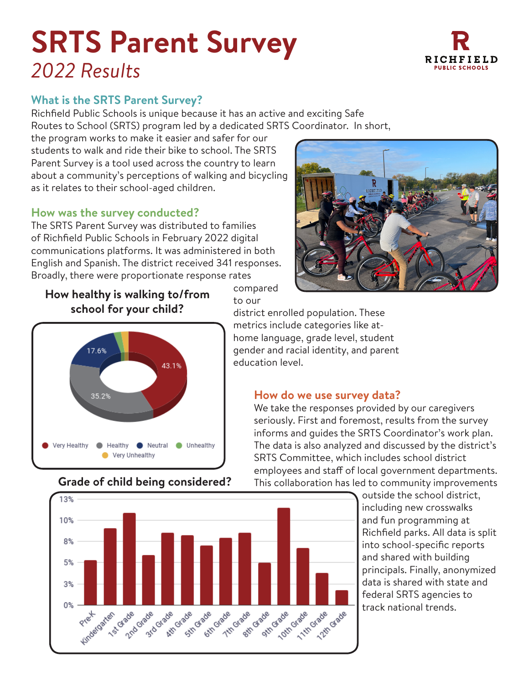# **SRTS Parent Survey** *2022 Results*



Richfield Public Schools is unique because it has an active and exciting Safe Routes to School (SRTS) program led by a dedicated SRTS Coordinator. In short,

the program works to make it easier and safer for our students to walk and ride their bike to school. The SRTS Parent Survey is a tool used across the country to learn about a community's perceptions of walking and bicycling as it relates to their school-aged children.

#### **How was the survey conducted?**

The SRTS Parent Survey was distributed to families of Richfield Public Schools in February 2022 digital communications platforms. It was administered in both English and Spanish. The district received 341 responses. Broadly, there were proportionate response rates





## **Grade of child being considered?**



compared to our

district enrolled population. These metrics include categories like athome language, grade level, student gender and racial identity, and parent education level.

#### **How do we use survey data?**

We take the responses provided by our caregivers seriously. First and foremost, results from the survey informs and guides the SRTS Coordinator's work plan. The data is also analyzed and discussed by the district's SRTS Committee, which includes school district employees and staff of local government departments. This collaboration has led to community improvements

> outside the school district, including new crosswalks and fun programming at Richfield parks. All data is split into school-specific reports and shared with building principals. Finally, anonymized data is shared with state and federal SRTS agencies to track national trends.